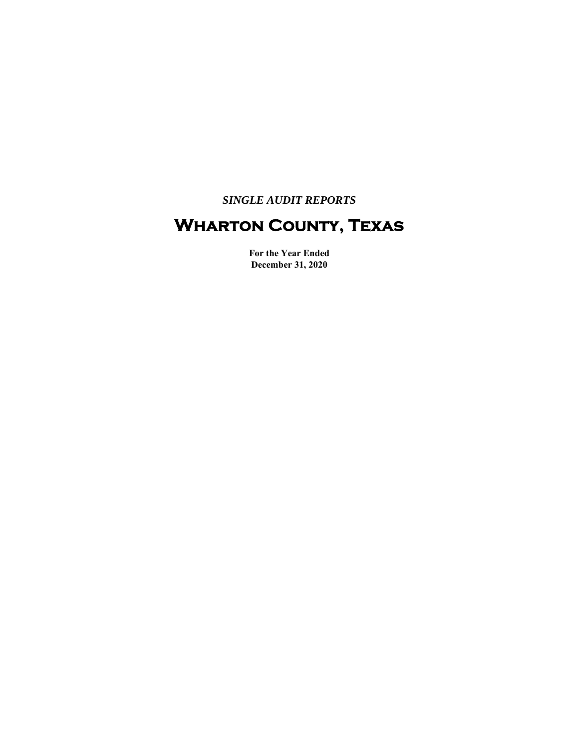*SINGLE AUDIT REPORTS* 

# **Wharton County, Texas**

**For the Year Ended December 31, 2020**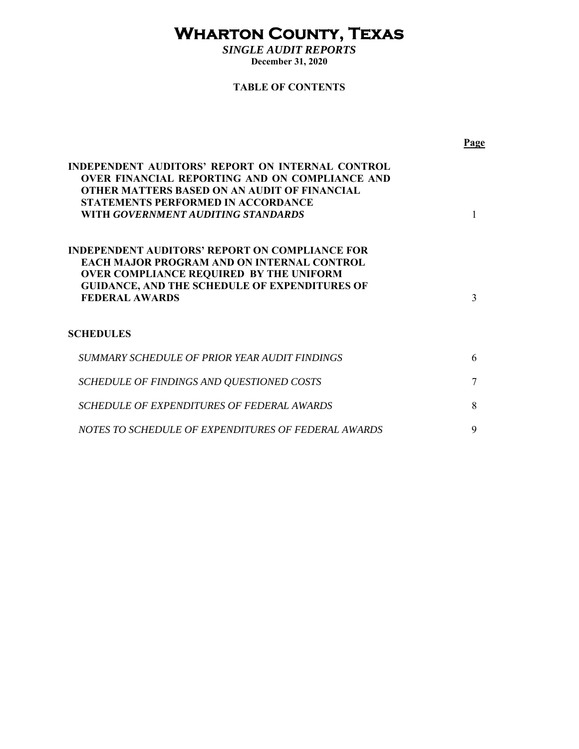# **Wharton County, Texas**

*SINGLE AUDIT REPORTS*  **December 31, 2020** 

# **TABLE OF CONTENTS**

|                                                                                                                                                                                                                                              | Page |
|----------------------------------------------------------------------------------------------------------------------------------------------------------------------------------------------------------------------------------------------|------|
| INDEPENDENT AUDITORS' REPORT ON INTERNAL CONTROL<br><b>OVER FINANCIAL REPORTING AND ON COMPLIANCE AND</b><br>OTHER MATTERS BASED ON AN AUDIT OF FINANCIAL<br><b>STATEMENTS PERFORMED IN ACCORDANCE</b><br>WITH GOVERNMENT AUDITING STANDARDS |      |
| INDEPENDENT AUDITORS' REPORT ON COMPLIANCE FOR<br><b>EACH MAJOR PROGRAM AND ON INTERNAL CONTROL</b><br><b>OVER COMPLIANCE REQUIRED BY THE UNIFORM</b><br><b>GUIDANCE, AND THE SCHEDULE OF EXPENDITURES OF</b><br><b>FEDERAL AWARDS</b>       | 3    |
| SCHEDULES                                                                                                                                                                                                                                    |      |
| SUMMARY SCHEDULE OF PRIOR YEAR AUDIT FINDINGS                                                                                                                                                                                                | 6    |
| SCHEDULE OF FINDINGS AND QUESTIONED COSTS                                                                                                                                                                                                    | 7    |
| SCHEDULE OF EXPENDITURES OF FEDERAL AWARDS                                                                                                                                                                                                   | 8    |
| NOTES TO SCHEDULE OF EXPENDITURES OF FEDERAL AWARDS                                                                                                                                                                                          | 9    |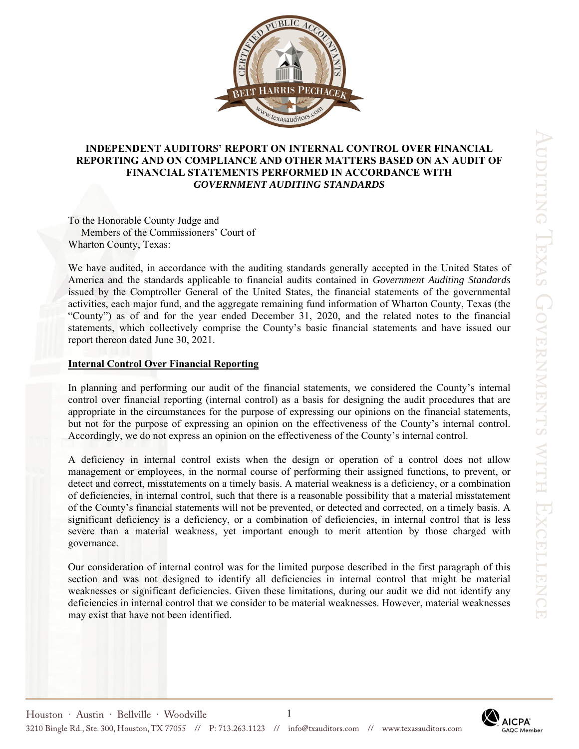

# **INDEPENDENT AUDITORS' REPORT ON INTERNAL CONTROL OVER FINANCIAL REPORTING AND ON COMPLIANCE AND OTHER MATTERS BASED ON AN AUDIT OF FINANCIAL STATEMENTS PERFORMED IN ACCORDANCE WITH**  *GOVERNMENT AUDITING STANDARDS*

To the Honorable County Judge and Members of the Commissioners' Court of Wharton County, Texas:

We have audited, in accordance with the auditing standards generally accepted in the United States of America and the standards applicable to financial audits contained in *Government Auditing Standards* issued by the Comptroller General of the United States, the financial statements of the governmental activities, each major fund, and the aggregate remaining fund information of Wharton County, Texas (the "County") as of and for the year ended December 31, 2020, and the related notes to the financial statements, which collectively comprise the County's basic financial statements and have issued our report thereon dated June 30, 2021.

## **Internal Control Over Financial Reporting**

In planning and performing our audit of the financial statements, we considered the County's internal control over financial reporting (internal control) as a basis for designing the audit procedures that are appropriate in the circumstances for the purpose of expressing our opinions on the financial statements, but not for the purpose of expressing an opinion on the effectiveness of the County's internal control. Accordingly, we do not express an opinion on the effectiveness of the County's internal control.

A deficiency in internal control exists when the design or operation of a control does not allow management or employees, in the normal course of performing their assigned functions, to prevent, or detect and correct, misstatements on a timely basis. A material weakness is a deficiency, or a combination of deficiencies, in internal control, such that there is a reasonable possibility that a material misstatement of the County's financial statements will not be prevented, or detected and corrected, on a timely basis. A significant deficiency is a deficiency, or a combination of deficiencies, in internal control that is less severe than a material weakness, yet important enough to merit attention by those charged with governance.

Our consideration of internal control was for the limited purpose described in the first paragraph of this section and was not designed to identify all deficiencies in internal control that might be material weaknesses or significant deficiencies. Given these limitations, during our audit we did not identify any deficiencies in internal control that we consider to be material weaknesses. However, material weaknesses may exist that have not been identified.

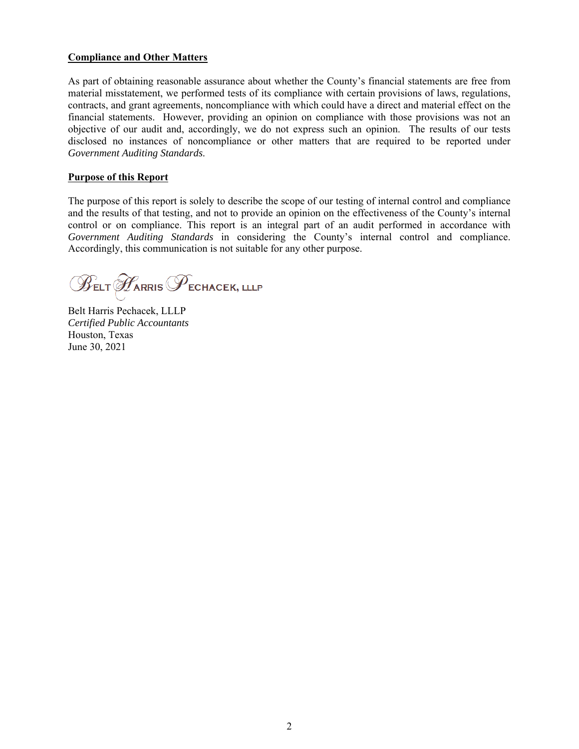# **Compliance and Other Matters**

As part of obtaining reasonable assurance about whether the County's financial statements are free from material misstatement, we performed tests of its compliance with certain provisions of laws, regulations, contracts, and grant agreements, noncompliance with which could have a direct and material effect on the financial statements. However, providing an opinion on compliance with those provisions was not an objective of our audit and, accordingly, we do not express such an opinion. The results of our tests disclosed no instances of noncompliance or other matters that are required to be reported under *Government Auditing Standards*.

# **Purpose of this Report**

The purpose of this report is solely to describe the scope of our testing of internal control and compliance and the results of that testing, and not to provide an opinion on the effectiveness of the County's internal control or on compliance. This report is an integral part of an audit performed in accordance with *Government Auditing Standards* in considering the County's internal control and compliance. Accordingly, this communication is not suitable for any other purpose.

 $\mathscr{B}_{\texttt{ELT}} \mathscr{B}_{\texttt{ARRIS}} \mathscr{P}_{\texttt{ECHACEK, ILLP}}$ 

Belt Harris Pechacek, LLLP *Certified Public Accountants*  Houston, Texas June 30, 2021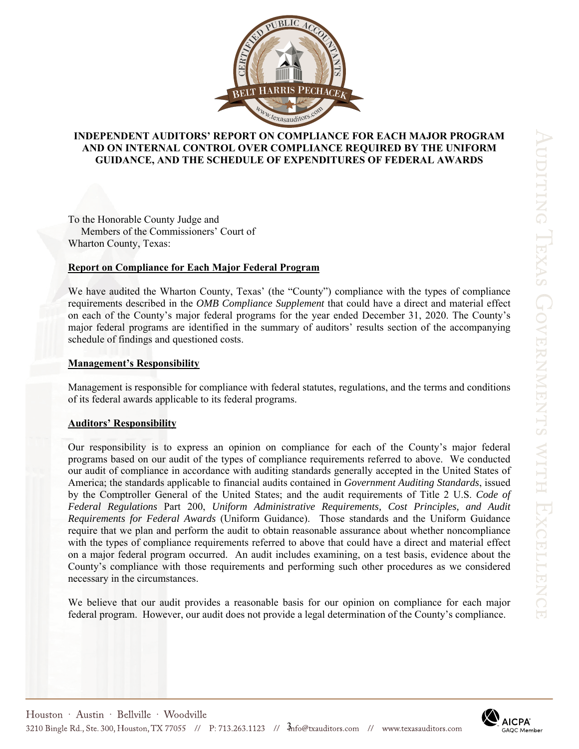

# **INDEPENDENT AUDITORS' REPORT ON COMPLIANCE FOR EACH MAJOR PROGRAM AND ON INTERNAL CONTROL OVER COMPLIANCE REQUIRED BY THE UNIFORM GUIDANCE, AND THE SCHEDULE OF EXPENDITURES OF FEDERAL AWARDS**

To the Honorable County Judge and Members of the Commissioners' Court of Wharton County, Texas:

#### **Report on Compliance for Each Major Federal Program**

We have audited the Wharton County, Texas' (the "County") compliance with the types of compliance requirements described in the *OMB Compliance Supplement* that could have a direct and material effect on each of the County's major federal programs for the year ended December 31, 2020. The County's major federal programs are identified in the summary of auditors' results section of the accompanying schedule of findings and questioned costs.

## **Management's Responsibility**

Management is responsible for compliance with federal statutes, regulations, and the terms and conditions of its federal awards applicable to its federal programs.

#### **Auditors' Responsibility**

Our responsibility is to express an opinion on compliance for each of the County's major federal programs based on our audit of the types of compliance requirements referred to above. We conducted our audit of compliance in accordance with auditing standards generally accepted in the United States of America; the standards applicable to financial audits contained in *Government Auditing Standards*, issued by the Comptroller General of the United States; and the audit requirements of Title 2 U.S. *Code of Federal Regulations* Part 200, *Uniform Administrative Requirements, Cost Principles, and Audit Requirements for Federal Awards* (Uniform Guidance). Those standards and the Uniform Guidance require that we plan and perform the audit to obtain reasonable assurance about whether noncompliance with the types of compliance requirements referred to above that could have a direct and material effect on a major federal program occurred. An audit includes examining, on a test basis, evidence about the County's compliance with those requirements and performing such other procedures as we considered necessary in the circumstances.

We believe that our audit provides a reasonable basis for our opinion on compliance for each major federal program. However, our audit does not provide a legal determination of the County's compliance.

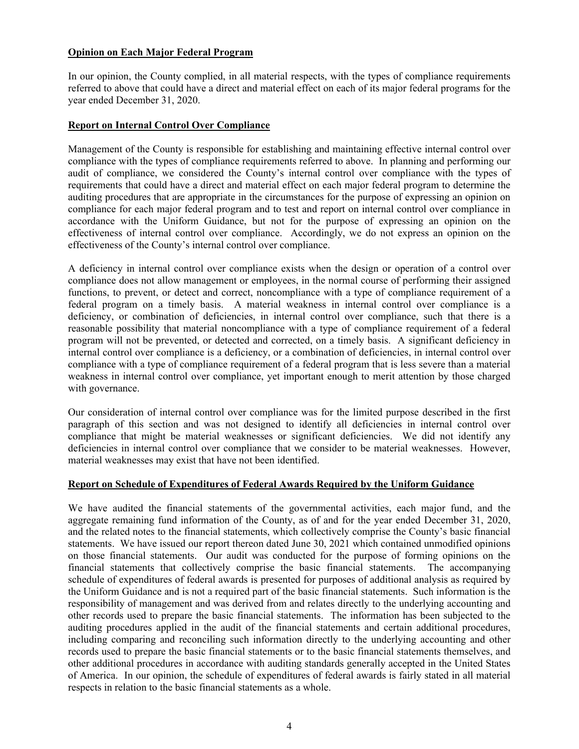# **Opinion on Each Major Federal Program**

In our opinion, the County complied, in all material respects, with the types of compliance requirements referred to above that could have a direct and material effect on each of its major federal programs for the year ended December 31, 2020.

## **Report on Internal Control Over Compliance**

Management of the County is responsible for establishing and maintaining effective internal control over compliance with the types of compliance requirements referred to above. In planning and performing our audit of compliance, we considered the County's internal control over compliance with the types of requirements that could have a direct and material effect on each major federal program to determine the auditing procedures that are appropriate in the circumstances for the purpose of expressing an opinion on compliance for each major federal program and to test and report on internal control over compliance in accordance with the Uniform Guidance, but not for the purpose of expressing an opinion on the effectiveness of internal control over compliance. Accordingly, we do not express an opinion on the effectiveness of the County's internal control over compliance.

A deficiency in internal control over compliance exists when the design or operation of a control over compliance does not allow management or employees, in the normal course of performing their assigned functions, to prevent, or detect and correct, noncompliance with a type of compliance requirement of a federal program on a timely basis. A material weakness in internal control over compliance is a deficiency, or combination of deficiencies, in internal control over compliance, such that there is a reasonable possibility that material noncompliance with a type of compliance requirement of a federal program will not be prevented, or detected and corrected, on a timely basis. A significant deficiency in internal control over compliance is a deficiency, or a combination of deficiencies, in internal control over compliance with a type of compliance requirement of a federal program that is less severe than a material weakness in internal control over compliance, yet important enough to merit attention by those charged with governance.

Our consideration of internal control over compliance was for the limited purpose described in the first paragraph of this section and was not designed to identify all deficiencies in internal control over compliance that might be material weaknesses or significant deficiencies. We did not identify any deficiencies in internal control over compliance that we consider to be material weaknesses. However, material weaknesses may exist that have not been identified.

## **Report on Schedule of Expenditures of Federal Awards Required by the Uniform Guidance**

We have audited the financial statements of the governmental activities, each major fund, and the aggregate remaining fund information of the County, as of and for the year ended December 31, 2020, and the related notes to the financial statements, which collectively comprise the County's basic financial statements. We have issued our report thereon dated June 30, 2021 which contained unmodified opinions on those financial statements. Our audit was conducted for the purpose of forming opinions on the financial statements that collectively comprise the basic financial statements. The accompanying schedule of expenditures of federal awards is presented for purposes of additional analysis as required by the Uniform Guidance and is not a required part of the basic financial statements. Such information is the responsibility of management and was derived from and relates directly to the underlying accounting and other records used to prepare the basic financial statements. The information has been subjected to the auditing procedures applied in the audit of the financial statements and certain additional procedures, including comparing and reconciling such information directly to the underlying accounting and other records used to prepare the basic financial statements or to the basic financial statements themselves, and other additional procedures in accordance with auditing standards generally accepted in the United States of America. In our opinion, the schedule of expenditures of federal awards is fairly stated in all material respects in relation to the basic financial statements as a whole.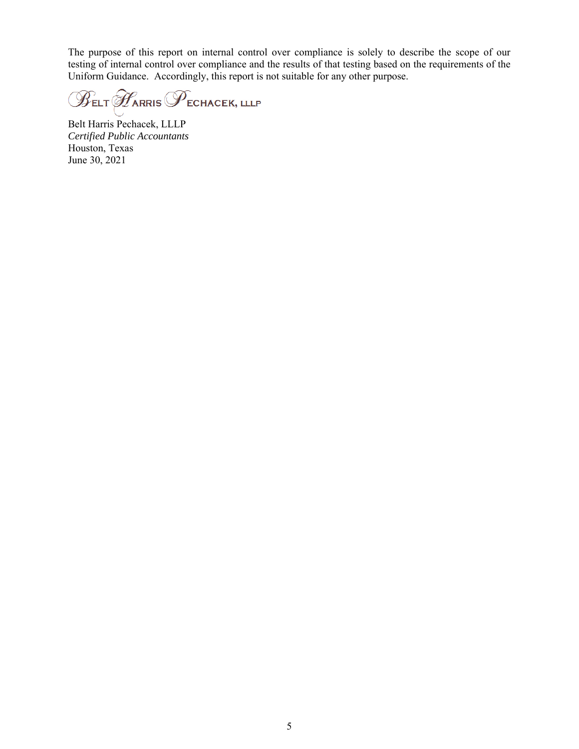The purpose of this report on internal control over compliance is solely to describe the scope of our testing of internal control over compliance and the results of that testing based on the requirements of the Uniform Guidance. Accordingly, this report is not suitable for any other purpose.

 $\mathscr{B}_{\texttt{ELT}} \mathscr{F}_{\texttt{ARRIS}} \mathscr{F}_{\texttt{ECHACEK, LLLP}}$ 

Belt Harris Pechacek, LLLP *Certified Public Accountants*  Houston, Texas June 30, 2021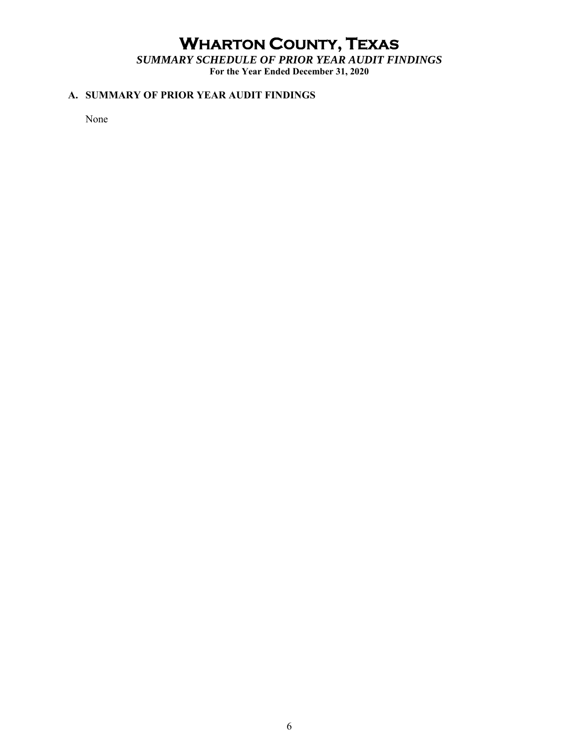# **WHARTON COUNTY, TEXAS**

*SUMMARY SCHEDULE OF PRIOR YEAR AUDIT FINDINGS*  **For the Year Ended December 31, 2020** 

# **A. SUMMARY OF PRIOR YEAR AUDIT FINDINGS**

None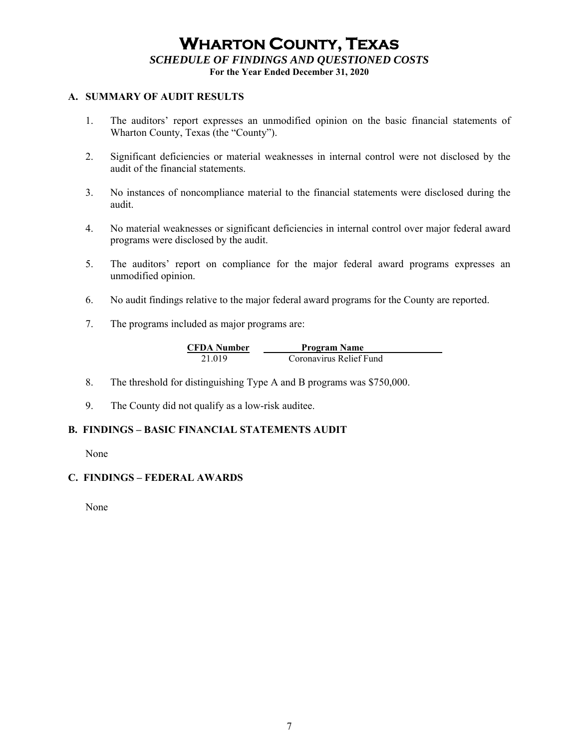# **WHARTON COUNTY, TEXAS** *SCHEDULE OF FINDINGS AND QUESTIONED COSTS*

**For the Year Ended December 31, 2020** 

# **A. SUMMARY OF AUDIT RESULTS**

- 1. The auditors' report expresses an unmodified opinion on the basic financial statements of Wharton County, Texas (the "County").
- 2. Significant deficiencies or material weaknesses in internal control were not disclosed by the audit of the financial statements.
- 3. No instances of noncompliance material to the financial statements were disclosed during the audit.
- 4. No material weaknesses or significant deficiencies in internal control over major federal award programs were disclosed by the audit.
- 5. The auditors' report on compliance for the major federal award programs expresses an unmodified opinion.
- 6. No audit findings relative to the major federal award programs for the County are reported.
- 7. The programs included as major programs are:

| <b>CFDA Number</b> | <b>Program Name</b>     |
|--------------------|-------------------------|
| 21.019             | Coronavirus Relief Fund |

- 8. The threshold for distinguishing Type A and B programs was \$750,000.
- 9. The County did not qualify as a low-risk auditee.

## **B. FINDINGS – BASIC FINANCIAL STATEMENTS AUDIT**

None

## **C. FINDINGS – FEDERAL AWARDS**

None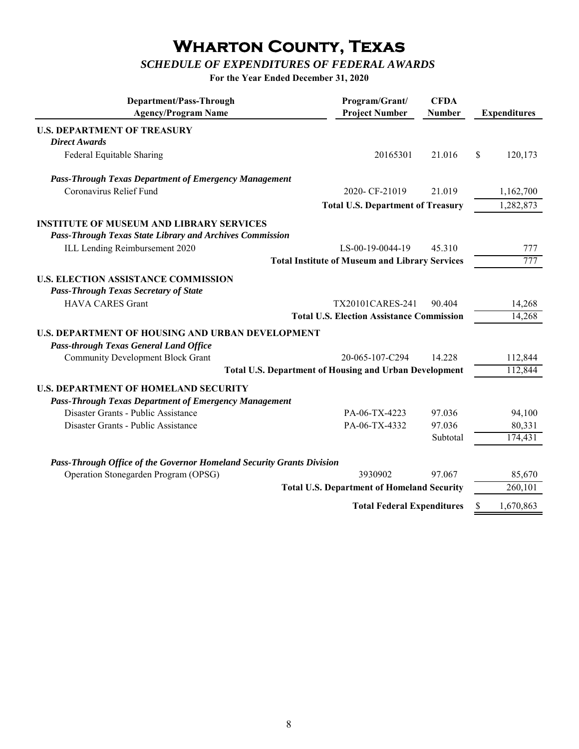# **Wharton County, Texas**

# *SCHEDULE OF EXPENDITURES OF FEDERAL AWARDS*

**For the Year Ended December 31, 2020**

| Department/Pass-Through<br><b>Agency/Program Name</b>                 | Program/Grant/<br><b>Project Number</b>               | <b>CFDA</b><br><b>Number</b> | <b>Expenditures</b> |
|-----------------------------------------------------------------------|-------------------------------------------------------|------------------------------|---------------------|
| <b>U.S. DEPARTMENT OF TREASURY</b>                                    |                                                       |                              |                     |
| <b>Direct Awards</b>                                                  |                                                       |                              |                     |
| Federal Equitable Sharing                                             | 20165301                                              | 21.016                       | \$<br>120,173       |
| <b>Pass-Through Texas Department of Emergency Management</b>          |                                                       |                              |                     |
| Coronavirus Relief Fund                                               | 2020-CF-21019                                         | 21.019                       | 1,162,700           |
|                                                                       | <b>Total U.S. Department of Treasury</b>              |                              | 1,282,873           |
| <b>INSTITUTE OF MUSEUM AND LIBRARY SERVICES</b>                       |                                                       |                              |                     |
| <b>Pass-Through Texas State Library and Archives Commission</b>       |                                                       |                              |                     |
| ILL Lending Reimbursement 2020                                        | LS-00-19-0044-19                                      | 45.310                       | 777                 |
|                                                                       | <b>Total Institute of Museum and Library Services</b> |                              | 777                 |
| <b>U.S. ELECTION ASSISTANCE COMMISSION</b>                            |                                                       |                              |                     |
| <b>Pass-Through Texas Secretary of State</b>                          |                                                       |                              |                     |
| <b>HAVA CARES Grant</b>                                               | TX20101CARES-241                                      | 90.404                       | 14,268              |
|                                                                       | <b>Total U.S. Election Assistance Commission</b>      |                              | 14,268              |
| <b>U.S. DEPARTMENT OF HOUSING AND URBAN DEVELOPMENT</b>               |                                                       |                              |                     |
| <b>Pass-through Texas General Land Office</b>                         |                                                       |                              |                     |
| <b>Community Development Block Grant</b>                              | 20-065-107-C294                                       | 14.228                       | 112,844             |
| <b>Total U.S. Department of Housing and Urban Development</b>         |                                                       |                              | 112,844             |
| <b>U.S. DEPARTMENT OF HOMELAND SECURITY</b>                           |                                                       |                              |                     |
| <b>Pass-Through Texas Department of Emergency Management</b>          |                                                       |                              |                     |
| Disaster Grants - Public Assistance                                   | PA-06-TX-4223                                         | 97.036                       | 94,100              |
| Disaster Grants - Public Assistance                                   | PA-06-TX-4332                                         | 97.036                       | 80,331              |
|                                                                       |                                                       | Subtotal                     | 174,431             |
|                                                                       |                                                       |                              |                     |
| Pass-Through Office of the Governor Homeland Security Grants Division |                                                       |                              |                     |
| Operation Stonegarden Program (OPSG)                                  | 3930902                                               | 97.067                       | 85,670              |
|                                                                       | <b>Total U.S. Department of Homeland Security</b>     |                              | 260,101             |
|                                                                       | <b>Total Federal Expenditures</b>                     |                              | \$<br>1,670,863     |